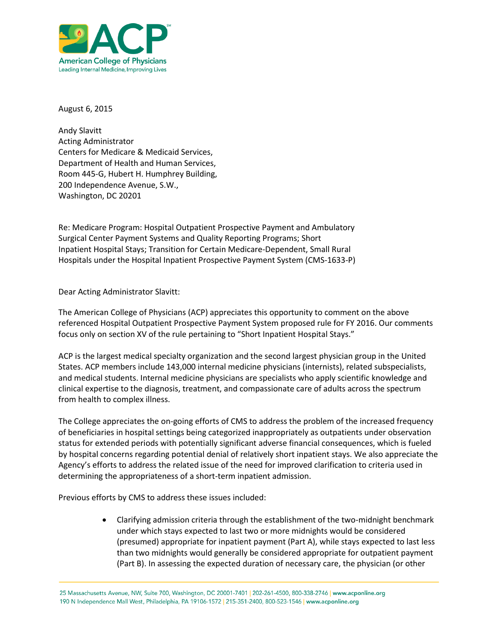

August 6, 2015

Andy Slavitt Acting Administrator Centers for Medicare & Medicaid Services, Department of Health and Human Services, Room 445-G, Hubert H. Humphrey Building, 200 Independence Avenue, S.W., Washington, DC 20201

Re: Medicare Program: Hospital Outpatient Prospective Payment and Ambulatory Surgical Center Payment Systems and Quality Reporting Programs; Short Inpatient Hospital Stays; Transition for Certain Medicare-Dependent, Small Rural Hospitals under the Hospital Inpatient Prospective Payment System (CMS-1633-P)

Dear Acting Administrator Slavitt:

The American College of Physicians (ACP) appreciates this opportunity to comment on the above referenced Hospital Outpatient Prospective Payment System proposed rule for FY 2016. Our comments focus only on section XV of the rule pertaining to "Short Inpatient Hospital Stays."

ACP is the largest medical specialty organization and the second largest physician group in the United States. ACP members include 143,000 internal medicine physicians (internists), related subspecialists, and medical students. Internal medicine physicians are specialists who apply scientific knowledge and clinical expertise to the diagnosis, treatment, and compassionate care of adults across the spectrum from health to complex illness.

The College appreciates the on-going efforts of CMS to address the problem of the increased frequency of beneficiaries in hospital settings being categorized inappropriately as outpatients under observation status for extended periods with potentially significant adverse financial consequences, which is fueled by hospital concerns regarding potential denial of relatively short inpatient stays. We also appreciate the Agency's efforts to address the related issue of the need for improved clarification to criteria used in determining the appropriateness of a short-term inpatient admission.

Previous efforts by CMS to address these issues included:

 Clarifying admission criteria through the establishment of the two-midnight benchmark under which stays expected to last two or more midnights would be considered (presumed) appropriate for inpatient payment (Part A), while stays expected to last less than two midnights would generally be considered appropriate for outpatient payment (Part B). In assessing the expected duration of necessary care, the physician (or other

25 Massachusetts Avenue, NW, Suite 700, Washington, DC 20001-7401 | 202-261-4500, 800-338-2746 | www.acponline.org 190 N Independence Mall West, Philadelphia, PA 19106-1572 | 215-351-2400, 800-523-1546 | www.acponline.org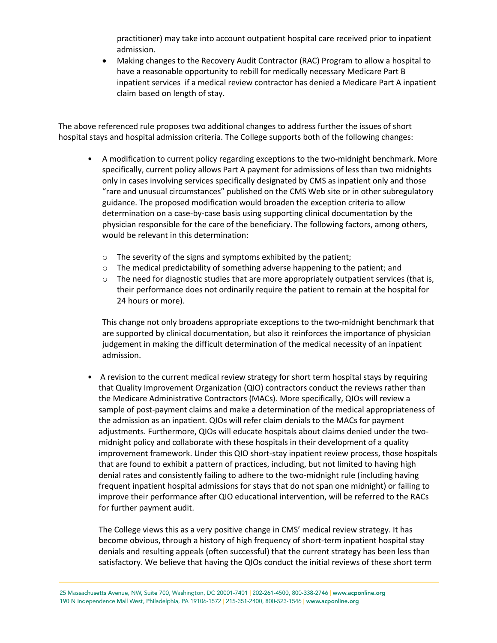practitioner) may take into account outpatient hospital care received prior to inpatient admission.

 Making changes to the Recovery Audit Contractor (RAC) Program to allow a hospital to have a reasonable opportunity to rebill for medically necessary Medicare Part B inpatient services if a medical review contractor has denied a Medicare Part A inpatient claim based on length of stay.

The above referenced rule proposes two additional changes to address further the issues of short hospital stays and hospital admission criteria. The College supports both of the following changes:

- A modification to current policy regarding exceptions to the two-midnight benchmark. More specifically, current policy allows Part A payment for admissions of less than two midnights only in cases involving services specifically designated by CMS as inpatient only and those "rare and unusual circumstances" published on the CMS Web site or in other subregulatory guidance. The proposed modification would broaden the exception criteria to allow determination on a case-by-case basis using supporting clinical documentation by the physician responsible for the care of the beneficiary. The following factors, among others, would be relevant in this determination:
	- o The severity of the signs and symptoms exhibited by the patient;
	- o The medical predictability of something adverse happening to the patient; and
	- $\circ$  The need for diagnostic studies that are more appropriately outpatient services (that is, their performance does not ordinarily require the patient to remain at the hospital for 24 hours or more).

This change not only broadens appropriate exceptions to the two-midnight benchmark that are supported by clinical documentation, but also it reinforces the importance of physician judgement in making the difficult determination of the medical necessity of an inpatient admission.

• A revision to the current medical review strategy for short term hospital stays by requiring that Quality Improvement Organization (QIO) contractors conduct the reviews rather than the Medicare Administrative Contractors (MACs). More specifically, QIOs will review a sample of post-payment claims and make a determination of the medical appropriateness of the admission as an inpatient. QIOs will refer claim denials to the MACs for payment adjustments. Furthermore, QIOs will educate hospitals about claims denied under the twomidnight policy and collaborate with these hospitals in their development of a quality improvement framework. Under this QIO short-stay inpatient review process, those hospitals that are found to exhibit a pattern of practices, including, but not limited to having high denial rates and consistently failing to adhere to the two-midnight rule (including having frequent inpatient hospital admissions for stays that do not span one midnight) or failing to improve their performance after QIO educational intervention, will be referred to the RACs for further payment audit.

The College views this as a very positive change in CMS' medical review strategy. It has become obvious, through a history of high frequency of short-term inpatient hospital stay denials and resulting appeals (often successful) that the current strategy has been less than satisfactory. We believe that having the QIOs conduct the initial reviews of these short term